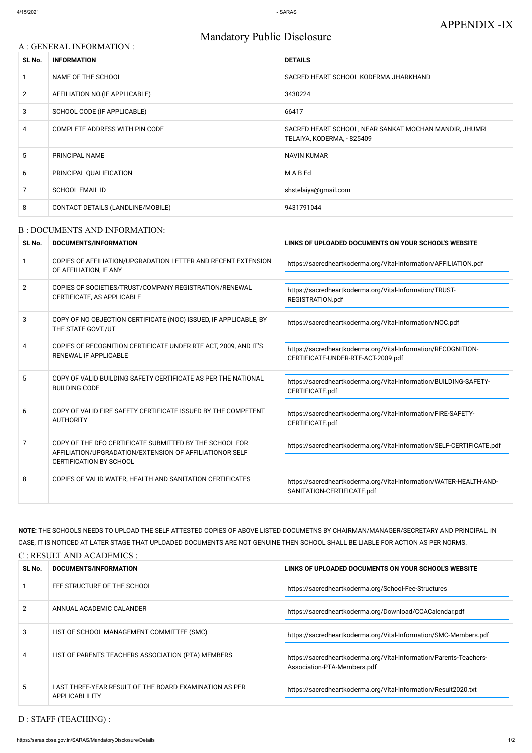# Mandatory Public Disclosure

| A : GENERAL INFORMATION : |                                   |                                                                                      |  |
|---------------------------|-----------------------------------|--------------------------------------------------------------------------------------|--|
| SL No.                    | <b>INFORMATION</b>                | <b>DETAILS</b>                                                                       |  |
|                           | NAME OF THE SCHOOL                | SACRED HEART SCHOOL KODERMA JHARKHAND                                                |  |
| $\overline{2}$            | AFFILIATION NO. (IF APPLICABLE)   | 3430224                                                                              |  |
| 3                         | SCHOOL CODE (IF APPLICABLE)       | 66417                                                                                |  |
| 4                         | COMPLETE ADDRESS WITH PIN CODE    | SACRED HEART SCHOOL, NEAR SANKAT MOCHAN MANDIR, JHUMRI<br>TELAIYA, KODERMA, - 825409 |  |
| 5                         | PRINCIPAL NAME                    | <b>NAVIN KUMAR</b>                                                                   |  |
| 6                         | PRINCIPAL QUALIFICATION           | M A B Ed                                                                             |  |
| 7                         | <b>SCHOOL EMAIL ID</b>            | shstelaiya@gmail.com                                                                 |  |
| 8                         | CONTACT DETAILS (LANDLINE/MOBILE) | 9431791044                                                                           |  |

#### B : DOCUMENTS AND INFORMATION:

| SL No.         | DOCUMENTS/INFORMATION                                                                                                                                | LINKS OF UPLOADED DOCUMENTS ON YOUR SCHOOL'S WEBSITE                                                |
|----------------|------------------------------------------------------------------------------------------------------------------------------------------------------|-----------------------------------------------------------------------------------------------------|
| 1              | COPIES OF AFFILIATION/UPGRADATION LETTER AND RECENT EXTENSION<br>OF AFFILIATION, IF ANY                                                              | https://sacredheartkoderma.org/Vital-Information/AFFILIATION.pdf                                    |
| 2              | COPIES OF SOCIETIES/TRUST/COMPANY REGISTRATION/RENEWAL<br>CERTIFICATE, AS APPLICABLE                                                                 | https://sacredheartkoderma.org/Vital-Information/TRUST-<br>REGISTRATION.pdf                         |
| 3              | COPY OF NO OBJECTION CERTIFICATE (NOC) ISSUED, IF APPLICABLE, BY<br>THE STATE GOVT./UT                                                               | https://sacredheartkoderma.org/Vital-Information/NOC.pdf                                            |
| 4              | COPIES OF RECOGNITION CERTIFICATE UNDER RTE ACT, 2009, AND IT'S<br><b>RENEWAL IF APPLICABLE</b>                                                      | https://sacredheartkoderma.org/Vital-Information/RECOGNITION-<br>CERTIFICATE-UNDER-RTE-ACT-2009.pdf |
| 5              | COPY OF VALID BUILDING SAFETY CERTIFICATE AS PER THE NATIONAL<br><b>BUILDING CODE</b>                                                                | https://sacredheartkoderma.org/Vital-Information/BUILDING-SAFETY-<br>CERTIFICATE.pdf                |
| 6              | COPY OF VALID FIRE SAFETY CERTIFICATE ISSUED BY THE COMPETENT<br><b>AUTHORITY</b>                                                                    | https://sacredheartkoderma.org/Vital-Information/FIRE-SAFETY-<br>CERTIFICATE.pdf                    |
| $\overline{7}$ | COPY OF THE DEO CERTIFICATE SUBMITTED BY THE SCHOOL FOR<br>AFFILIATION/UPGRADATION/EXTENSION OF AFFILIATIONOR SELF<br><b>CERTIFICATION BY SCHOOL</b> | https://sacredheartkoderma.org/Vital-Information/SELF-CERTIFICATE.pdf                               |
| 8              | COPIES OF VALID WATER, HEALTH AND SANITATION CERTIFICATES                                                                                            | https://sacredheartkoderma.org/Vital-Information/WATER-HEALTH-AND-<br>SANITATION-CERTIFICATE.pdf    |

| SL No.         | DOCUMENTS/INFORMATION                                                    | LINKS OF UPLOADED DOCUMENTS ON YOUR SCHOOL'S WEBSITE                                              |
|----------------|--------------------------------------------------------------------------|---------------------------------------------------------------------------------------------------|
|                | FEE STRUCTURE OF THE SCHOOL                                              | https://sacredheartkoderma.org/School-Fee-Structures                                              |
| $\mathcal{P}$  | ANNUAL ACADEMIC CALANDER                                                 | https://sacredheartkoderma.org/Download/CCACalendar.pdf                                           |
| 3              | LIST OF SCHOOL MANAGEMENT COMMITTEE (SMC)                                | https://sacredheartkoderma.org/Vital-Information/SMC-Members.pdf                                  |
| $\overline{4}$ | LIST OF PARENTS TEACHERS ASSOCIATION (PTA) MEMBERS                       | https://sacredheartkoderma.org/Vital-Information/Parents-Teachers-<br>Association-PTA-Members.pdf |
| 5              | LAST THREE-YEAR RESULT OF THE BOARD EXAMINATION AS PER<br>APPLICABLILITY | https://sacredheartkoderma.org/Vital-Information/Result2020.txt                                   |

**NOTE:** THE SCHOOLS NEEDS TO UPLOAD THE SELF ATTESTED COPIES OF ABOVE LISTED DOCUMETNS BY CHAIRMAN/MANAGER/SECRETARY AND PRINCIPAL. IN CASE, IT IS NOTICED AT LATER STAGE THAT UPLOADED DOCUMENTS ARE NOT GENUINE THEN SCHOOL SHALL BE LIABLE FOR ACTION AS PER NORMS. C : RESULT AND ACADEMICS :

D : STAFF (TEACHING) :